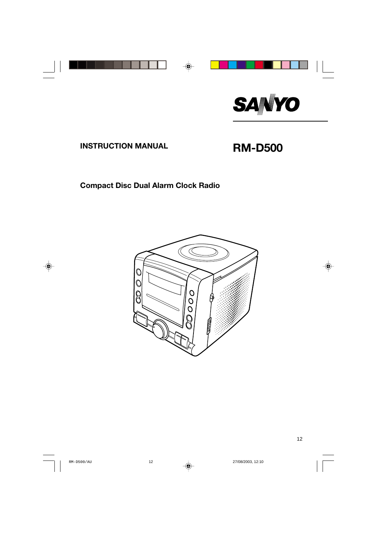

# **INSTRUCTION MANUAL RM-D500**

### **Compact Disc Dual Alarm Clock Radio**

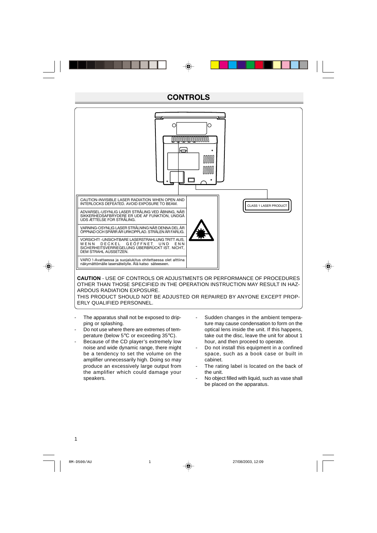### **CONTROLS**



THIS PRODUCT SHOULD NOT BE ADJUSTED OR REPAIRED BY ANYONE EXCEPT PROP-ERLY QUALIFIED PERSONNEL.

- The apparatus shall not be exposed to dripping or splashing.
- Do not use where there are extremes of temperature (below 5°C or exceeding 35°C).
- Because of the CD player's extremely low noise and wide dynamic range, there might be a tendency to set the volume on the amplifier unnecessarily high. Doing so may produce an excessively large output from the amplifier which could damage your speakers.
- Sudden changes in the ambient temperature may cause condensation to form on the optical lens inside the unit. If this happens, take out the disc, leave the unit for about 1 hour, and then proceed to operate.
- Do not install this equipment in a confined space, such as a book case or built in cabinet.
- The rating label is located on the back of the unit.
- No object filled with liquid, such as vase shall be placed on the apparatus.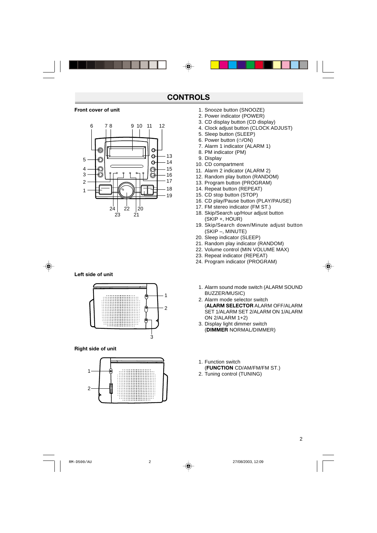#### **Front cover of unit**



#### **Left side of unit**



#### **Right side of unit**



- 1. Snooze button (SNOOZE)
- 2. Power indicator (POWER)
- 3. CD display button (CD display)
- 4. Clock adjust button (CLOCK ADJUST)
- 5. Sleep button (SLEEP)
- 6. Power button ( $\bigcirc$ /ON)
- 7. Alarm 1 indicator (ALARM 1)
- 8. PM indicator (PM)
- 9. Display
- 10. CD compartment
- 11. Alarm 2 indicator (ALARM 2)
- 12. Random play button (RANDOM)
- 13. Program button (PROGRAM)
- 14. Repeat button (REPEAT)
- 15. CD stop button (STOP)
- 16. CD play/Pause button (PLAY/PAUSE)
- 17. FM stereo indicator (FM ST.)
- 18. Skip/Search up/Hour adjust button (SKIP +, HOUR)
- 19. Skip/Search down/Minute adjust button (SKIP –, MINUTE)
- 20. Sleep indicator (SLEEP)
- 21. Random play indicator (RANDOM)
- 22. Volume control (MIN VOLUME MAX)
- 23. Repeat indicator (REPEAT)
- 24. Program indicator (PROGRAM)
	- 1. Alarm sound mode switch (ALARM SOUND BUZZER/MUSIC)
	- 2. Alarm mode selector switch (**ALARM SELECTOR** ALARM OFF/ALARM SET 1/ALARM SET 2/ALARM ON 1/ALARM ON 2/ALARM 1+2)
	- 3. Display light dimmer switch (**DIMMER** NORMAL/DIMMER)
	- 1. Function switch (**FUNCTION** CD/AM/FM/FM ST.)
	- 2. Tuning control (TUNING)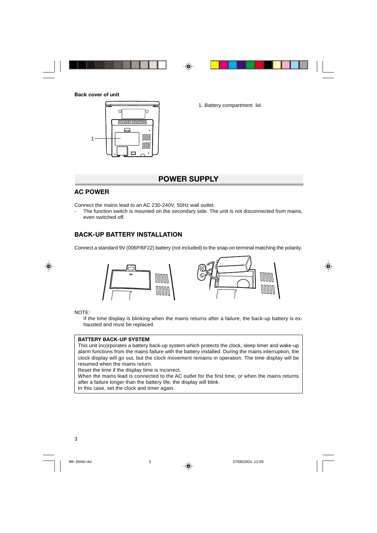

1. Battery compartment lid

### **POWER SUPPLY**

### **AC POWER**

Connect the mains lead to an AC 230-240V, 50Hz wall outlet.

The function switch is mounted on the secondary side. The unit is not disconnected from mains, even switched off.

### **BACK-UP BATTERY INSTALLATION**

Connect a standard 9V (006P/6F22) battery (not included) to the snap-on terminal matching the polarity.



NOTE:

If the time display is blinking when the mains returns after a failure, the back-up battery is exhausted and must be replaced.

#### **BATTERY BACK-UP SYSTEM**

This unit incorporates a battery back-up system which protects the clock, sleep timer and wake-up alarm functions from the mains failure with the battery installed. During the mains interruption, the clock display will go out, but the clock movement remains in operation. The time display will be resumed when the mains return.

Reset the time if the display time is incorrect.

When the mains lead is connected to the AC outlet for the first time, or when the mains returns after a failure longer than the battery life, the display will blink.

In this case, set the clock and timer again.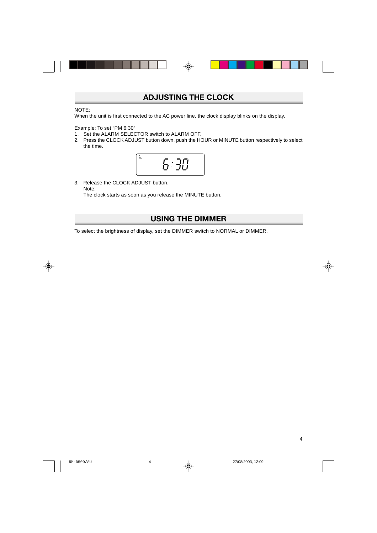### **ADJUSTING THE CLOCK**

#### NOTE:

When the unit is first connected to the AC power line, the clock display blinks on the display.

Example: To set "PM 6:30"

- 1. Set the ALARM SELECTOR switch to ALARM OFF.
- 2. Press the CLOCK ADJUST button down, push the HOUR or MINUTE button respectively to select the time.



3. Release the CLOCK ADJUST button. Note: The clock starts as soon as you release the MINUTE button.

### **USING THE DIMMER**

To select the brightness of display, set the DIMMER switch to NORMAL or DIMMER.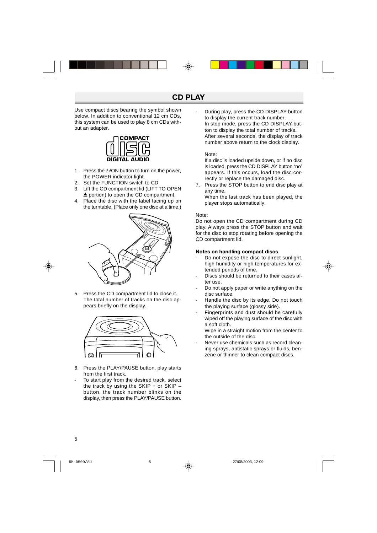Use compact discs bearing the symbol shown below. In addition to conventional 12 cm CDs, this system can be used to play 8 cm CDs without an adapter.



- 1. Press the  $\bigcirc$ /ON button to turn on the power, the POWER indicator light.
- 2. Set the FUNCTION switch to CD.
- 3. Lift the CD compartment lid (LIFT TO OPEN  $\triangle$  portion) to open the CD compartment.
- 4. Place the disc with the label facing up on the turntable. (Place only one disc at a time.)



5. Press the CD compartment lid to close it. The total number of tracks on the disc appears briefly on the display.



- 6. Press the PLAY/PAUSE button, play starts from the first track.
- To start play from the desired track, select the track by using the  $SKIP + or SKIP$ button, the track number blinks on the display, then press the PLAY/PAUSE button.

During play, press the CD DISPLAY button to display the current track number. In stop mode, press the CD DISPLAY button to display the total number of tracks. After several seconds, the display of track number above return to the clock display.

#### Note:

If a disc is loaded upside down, or if no disc is loaded, press the CD DISPLAY button "no" appears. If this occurs, load the disc correctly or replace the damaged disc.

7. Press the STOP button to end disc play at any time.

When the last track has been played, the player stops automatically.

#### Note:

Do not open the CD compartment during CD play. Always press the STOP button and wait for the disc to stop rotating before opening the CD compartment lid.

#### **Notes on handling compact discs**

- Do not expose the disc to direct sunlight, high humidity or high temperatures for extended periods of time.
- Discs should be returned to their cases after use.
- Do not apply paper or write anything on the disc surface.
- Handle the disc by its edge. Do not touch the playing surface (glossy side).
- Fingerprints and dust should be carefully wiped off the playing surface of the disc with a soft cloth.

Wipe in a straight motion from the center to the outside of the disc.

Never use chemicals such as record cleaning sprays, antistatic sprays or fluids, benzene or thinner to clean compact discs.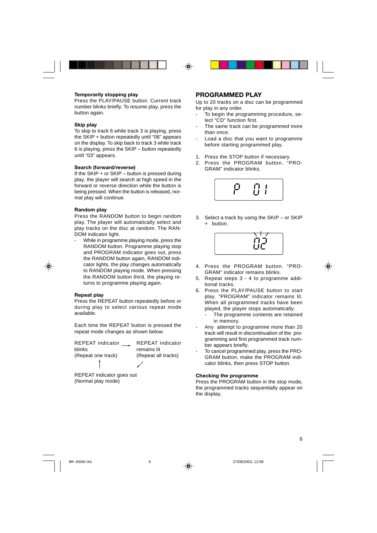#### **Temporarily stopping play**

Press the PLAY/PAUSE button. Current track number blinks briefly. To resume play, press the button again.

#### **Skip play**

To skip to track 6 while track 3 is playing, press the SKIP + button repeatedly until "06" appears on the display. To skip back to track 3 while track 6 is playing, press the SKIP – button repeatedly until "03" appears.

#### **Search (forward/reverse)**

If the  $SKIP + or SKIP -$  button is pressed during play, the player will search at high speed in the forward or reverse direction while the button is being pressed. When the button is released, normal play will continue.

#### **Random play**

Press the RANDOM button to begin random play. The player will automatically select and play tracks on the disc at random. The RAN-DOM indicator light.

While in programme playing mode, press the RANDOM button. Programme playing stop and PROGRAM indicator goes out, press the RANDOM button again, RANDOM indicator lights, the play changes automatically to RANDOM playing mode. When pressing the RANDOM button third, the playing returns to programme playing again.

#### **Repeat play**

Press the REPEAT button repeatedly before or during play to select various repeat mode available.

Each time the REPEAT button is pressed the repeat mode changes as shown below.

REPEAT indicator \_\_ blinks (Repeat one track) İ

REPEAT indicator remains lit (Repeat all tracks)

v

REPEAT indicator goes out (Normal play mode)

### **PROGRAMMED PLAY**

Up to 20 tracks on a disc can be programmed for play in any order.

- To begin the programming procedure, select "CD" function first.
- The same track can be programmed more than once.
- Load a disc that you want to programme before starting programmed play.
- 1. Press the STOP button if necessary.
- 2. Press the PROGRAM button. "PRO-GRAM" indicator blinks.



3. Select a track by using the SKIP – or SKIP + button.



- 4. Press the PROGRAM button. "PRO-GRAM" indicator remains blinks.
- 5. Repeat steps 3 4 to programme additional tracks.
- 6. Press the PLAY/PAUSE button to start play. "PROGRAM" indicator remains lit. When all programmed tracks have been played, the player stops automatically.
	- The programme contents are retained in memory.
- Any attempt to programme more than 20 track will result in discontinuation of the programming and first programmed track number appears briefly.
- To cancel programmed play, press the PRO-GRAM button, make the PROGRAM indicator blinks, then press STOP button.

#### **Checking the programme**

Press the PROGRAM button in the stop mode, the programmed tracks sequentially appear on the display.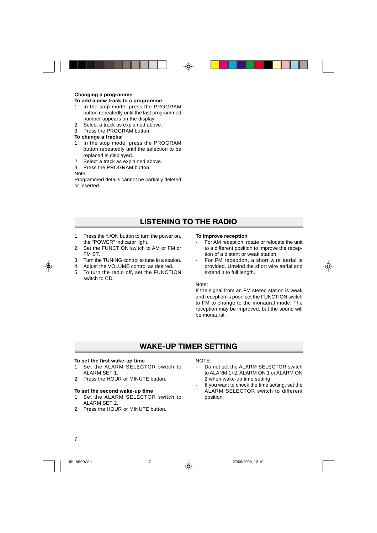#### **Changing a programme To add a new track to a programme**

- 1. In the stop mode, press the PROGRAM button repeatedly until the last programmed number appears on the display.
- 2. Select a track as explained above.
- 3. Press the PROGRAM button.

#### **To change a tracks:**

- 1. In the stop mode, press the PROGRAM button repeatedly until the selection to be replaced is displayed.
- 2. Select a track as explained above.
- 3. Press the PROGRAM button.

Note:

Programmed details cannot be partially deleted or inserted.

## **LISTENING TO THE RADIO**

- 1. Press the  $\bigcirc$ /ON button to turn the power on, the "POWER" indicator light.
- 2. Set the FUNCTION switch to AM or FM or FM ST..
- 3. Turn the TUNING control to tune in a station.
- 4. Adjust the VOLUME control as desired.
- 5. To turn the radio off, set the FUNCTION switch to CD.

#### **To improve reception**

- For AM reception, rotate or relocate the unit to a different position to improve the reception of a distant or weak station.
- For FM reception, a short wire aerial is provided. Unwind the short wire aerial and extend it to full length.

#### Note:

If the signal from an FM stereo station is weak and reception is poor, set the FUNCTION switch to FM to change to the monaural mode. The reception may be improved, but the sound will be monaural.

### **WAKE-UP TIMER SETTING**

#### **To set the first wake-up time**

- 1. Set the ALARM SELECTOR switch to ALARM SET 1.
- 2. Press the HOUR or MINUTE button.

#### **To set the second wake-up time**

- 1. Set the ALARM SELECTOR switch to ALARM SET 2.
- 2. Press the HOUR or MINUTE button.

#### NOTE:

- Do not set the ALARM SELECTOR switch to ALARM 1+2, ALARM ON 1 or ALARM ON 2 when wake-up time setting.
- If you want to check the time setting, set the ALARM SELECTOR switch to different position.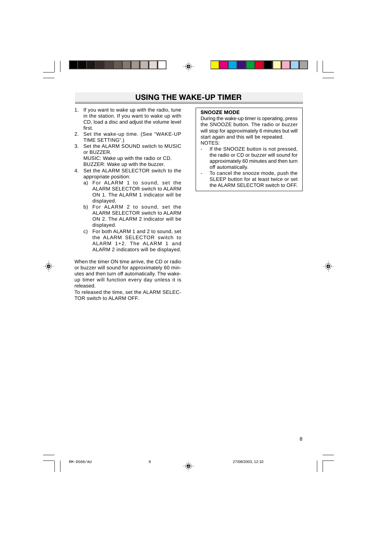- 1. If you want to wake up with the radio, tune in the station. If you want to wake up with CD, load a disc and adjust the volume level first.
- 2. Set the wake-up time. (See "WAKE-UP TIME SETTING".)
- 3. Set the ALARM SOUND switch to MUSIC or BUZZER. MUSIC: Wake up with the radio or CD. BUZZER: Wake up with the buzzer.
- 4. Set the ALARM SELECTOR switch to the appropriate position:
	- a) For ALARM 1 to sound, set the ALARM SELECTOR switch to ALARM ON 1. The ALARM 1 indicator will be displayed.
	- b) For ALARM 2 to sound, set the ALARM SELECTOR switch to ALARM ON 2. The ALARM 2 indicator will be displayed.
	- c) For both ALARM 1 and 2 to sound, set the ALARM SELECTOR switch to ALARM 1+2. The ALARM 1 and ALARM 2 indicators will be displayed.

When the timer ON time arrive, the CD or radio or buzzer will sound for approximately 60 minutes and then turn off automatically. The wakeup timer will function every day unless it is released.

To released the time, set the ALARM SELEC-TOR switch to ALARM OFF.

#### **SNOOZE MODE**

During the wake-up timer is operating, press the SNOOZE button. The radio or buzzer will stop for approximately 6 minutes but will start again and this will be repeated. NOTES:

- If the SNOOZE button is not pressed, the radio or CD or buzzer will sound for approximately 60 minutes and then turn off automatically.
- To cancel the snooze mode, push the SLEEP button for at least twice or set the ALARM SELECTOR switch to OFF.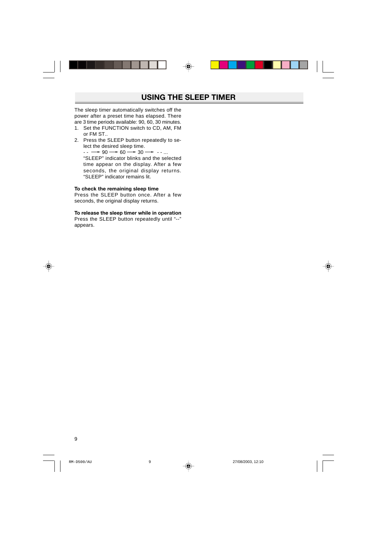The sleep timer automatically switches off the power after a preset time has elapsed. There are 3 time periods available: 90, 60, 30 minutes.

- 1. Set the FUNCTION switch to CD, AM, FM or FM ST..
- 2. Press the SLEEP button repeatedly to select the desired sleep time.  $\cdots \longrightarrow 90 \longrightarrow 60 \longrightarrow 30 \longrightarrow \cdots$ "SLEEP" indicator blinks and the selected time appear on the display. After a few seconds, the original display returns. "SLEEP" indicator remains lit.

#### **To check the remaining sleep time**

Press the SLEEP button once. After a few seconds, the original display returns.

#### **To release the sleep timer while in operation**

Press the SLEEP button repeatedly until "--" appears.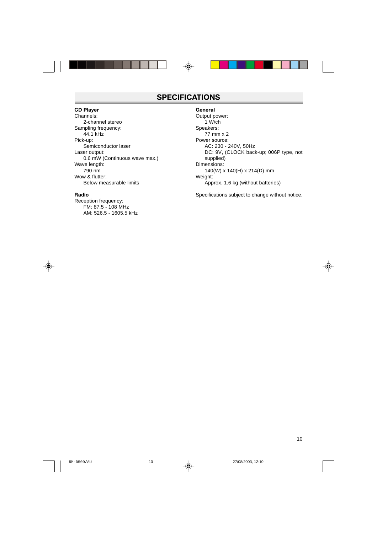### **SPECIFICATIONS**

#### **CD Player**

Channels: 2-channel stereo Sampling frequency: 44.1 kHz Pick-up: Semiconductor laser Laser output: 0.6 mW (Continuous wave max.) Wave length: 790 nm Wow & flutter: Below measurable limits

#### **Radio**

Reception frequency: FM: 87.5 - 108 MHz AM: 526.5 - 1605.5 kHz

#### **General**

Output power: 1 W/ch Speakers: 77 mm x 2 Power source: AC: 230 - 240V, 50Hz DC: 9V, (CLOCK back-up; 006P type, not supplied) Dimensions: 140(W) x 140(H) x 214(D) mm Weight: Approx. 1.6 kg (without batteries)

Specifications subject to change without notice.